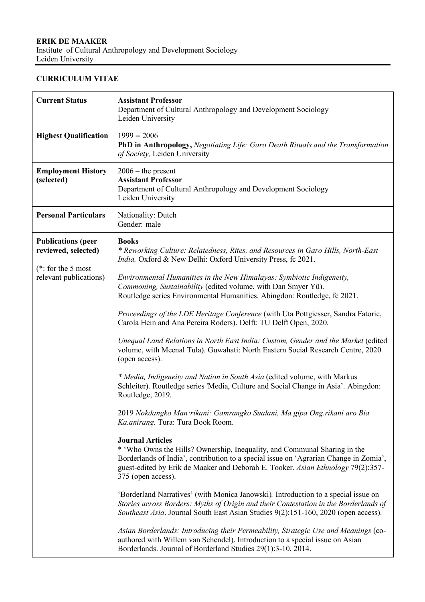Leiden University

## **CURRICULUM VITAE**

| <b>Current Status</b>                            | <b>Assistant Professor</b><br>Department of Cultural Anthropology and Development Sociology<br>Leiden University                                                                                                                                                                                        |
|--------------------------------------------------|---------------------------------------------------------------------------------------------------------------------------------------------------------------------------------------------------------------------------------------------------------------------------------------------------------|
| <b>Highest Qualification</b>                     | $1999 - 2006$<br>PhD in Anthropology, Negotiating Life: Garo Death Rituals and the Transformation<br>of Society, Leiden University                                                                                                                                                                      |
| <b>Employment History</b><br>(selected)          | $2006$ – the present<br><b>Assistant Professor</b><br>Department of Cultural Anthropology and Development Sociology<br>Leiden University                                                                                                                                                                |
| <b>Personal Particulars</b>                      | Nationality: Dutch<br>Gender: male                                                                                                                                                                                                                                                                      |
| <b>Publications (peer</b><br>reviewed, selected) | <b>Books</b><br>* Reworking Culture: Relatedness, Rites, and Resources in Garo Hills, North-East<br>India. Oxford & New Delhi: Oxford University Press, fc 2021.                                                                                                                                        |
| ( $*$ : for the 5 most<br>relevant publications) | Environmental Humanities in the New Himalayas: Symbiotic Indigeneity,<br>Commoning, Sustainability (edited volume, with Dan Smyer Yü).<br>Routledge series Environmental Humanities. Abingdon: Routledge, fc 2021.                                                                                      |
|                                                  | Proceedings of the LDE Heritage Conference (with Uta Pottgiesser, Sandra Fatoric,<br>Carola Hein and Ana Pereira Roders). Delft: TU Delft Open, 2020.                                                                                                                                                   |
|                                                  | Unequal Land Relations in North East India: Custom, Gender and the Market (edited<br>volume, with Meenal Tula). Guwahati: North Eastern Social Research Centre, 2020<br>(open access).                                                                                                                  |
|                                                  | * Media, Indigeneity and Nation in South Asia (edited volume, with Markus<br>Schleiter). Routledge series 'Media, Culture and Social Change in Asia'. Abingdon:<br>Routledge, 2019.                                                                                                                     |
|                                                  | 2019 Nokdangko Man rikani: Gamrangko Sualani, Ma.gipa Ong.rikani aro Bia<br>Ka.anirang. Tura: Tura Book Room.                                                                                                                                                                                           |
|                                                  | <b>Journal Articles</b><br>* 'Who Owns the Hills? Ownership, Inequality, and Communal Sharing in the<br>Borderlands of India', contribution to a special issue on 'Agrarian Change in Zomia',<br>guest-edited by Erik de Maaker and Deborah E. Tooker. Asian Ethnology 79(2):357-<br>375 (open access). |
|                                                  | 'Borderland Narratives' (with Monica Janowski). Introduction to a special issue on<br>Stories across Borders: Myths of Origin and their Contestation in the Borderlands of<br>Southeast Asia. Journal South East Asian Studies 9(2):151-160, 2020 (open access).                                        |
|                                                  | Asian Borderlands: Introducing their Permeability, Strategic Use and Meanings (co-<br>authored with Willem van Schendel). Introduction to a special issue on Asian<br>Borderlands. Journal of Borderland Studies 29(1):3-10, 2014.                                                                      |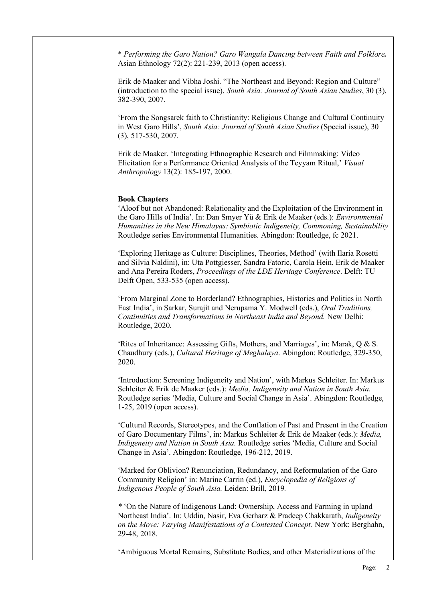\* *Performing the Garo Nation? Garo Wangala Dancing between Faith and Folklore.* Asian Ethnology 72(2): 221-239, 2013 (open access).

Erik de Maaker and Vibha Joshi. "The Northeast and Beyond: Region and Culture" (introduction to the special issue). *South Asia: Journal of South Asian Studies*, 30 (3), 382-390, 2007.

'From the Songsarek faith to Christianity: Religious Change and Cultural Continuity in West Garo Hills', *South Asia: Journal of South Asian Studies* (Special issue), 30 (3), 517-530, 2007.

Erik de Maaker. 'Integrating Ethnographic Research and Filmmaking: Video Elicitation for a Performance Oriented Analysis of the Teyyam Ritual,' *Visual Anthropology* 13(2): 185-197, 2000.

## **Book Chapters**

'Aloof but not Abandoned: Relationality and the Exploitation of the Environment in the Garo Hills of India'. In: Dan Smyer Yü & Erik de Maaker (eds.): *Environmental Humanities in the New Himalayas: Symbiotic Indigeneity, Commoning, Sustainability* Routledge series Environmental Humanities. Abingdon: Routledge, fc 2021.

'Exploring Heritage as Culture: Disciplines, Theories, Method' (with Ilaria Rosetti and Silvia Naldini), in: Uta Pottgiesser, Sandra Fatoric, Carola Hein, Erik de Maaker and Ana Pereira Roders, *Proceedings of the LDE Heritage Conference*. Delft: TU Delft Open, 533-535 (open access).

'From Marginal Zone to Borderland? Ethnographies, Histories and Politics in North East India', in Sarkar, Surajit and Nerupama Y. Modwell (eds.), *Oral Traditions, Continuities and Transformations in Northeast India and Beyond.* New Delhi: Routledge, 2020.

'Rites of Inheritance: Assessing Gifts, Mothers, and Marriages', in: Marak, Q & S. Chaudhury (eds.), *Cultural Heritage of Meghalaya*. Abingdon: Routledge, 329-350, 2020.

'Introduction: Screening Indigeneity and Nation', with Markus Schleiter. In: Markus Schleiter & Erik de Maaker (eds.): *Media, Indigeneity and Nation in South Asia.*  Routledge series 'Media, Culture and Social Change in Asia'. Abingdon: Routledge, 1-25, 2019 (open access).

'Cultural Records, Stereotypes, and the Conflation of Past and Present in the Creation of Garo Documentary Films', in: Markus Schleiter & Erik de Maaker (eds.): *Media, Indigeneity and Nation in South Asia.* Routledge series 'Media, Culture and Social Change in Asia'. Abingdon: Routledge, 196-212, 2019.

'Marked for Oblivion? Renunciation, Redundancy, and Reformulation of the Garo Community Religion' in: Marine Carrin (ed.), *Encyclopedia of Religions of Indigenous People of South Asia.* Leiden: Brill, 2019*.*

*\** 'On the Nature of Indigenous Land: Ownership, Access and Farming in upland Northeast India'. In: Uddin, Nasir, Eva Gerharz & Pradeep Chakkarath, *Indigeneity on the Move: Varying Manifestations of a Contested Concept.* New York: Berghahn, 29-48, 2018.

'Ambiguous Mortal Remains, Substitute Bodies, and other Materializations of the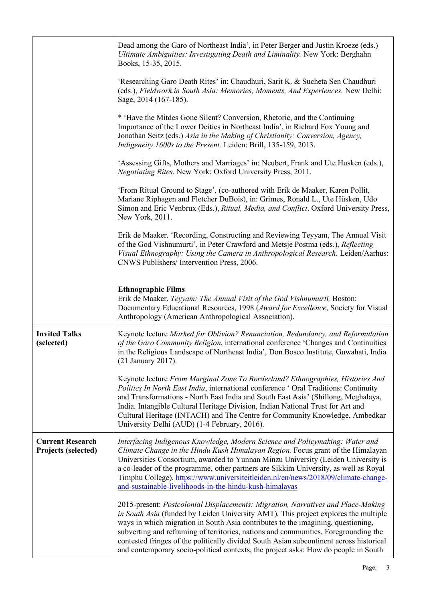|                                                       | Dead among the Garo of Northeast India', in Peter Berger and Justin Kroeze (eds.)<br>Ultimate Ambiguities: Investigating Death and Liminality. New York: Berghahn<br>Books, 15-35, 2015.                                                                                                                                                                                                                                                                                                                                             |
|-------------------------------------------------------|--------------------------------------------------------------------------------------------------------------------------------------------------------------------------------------------------------------------------------------------------------------------------------------------------------------------------------------------------------------------------------------------------------------------------------------------------------------------------------------------------------------------------------------|
|                                                       | 'Researching Garo Death Rites' in: Chaudhuri, Sarit K. & Sucheta Sen Chaudhuri<br>(eds.), Fieldwork in South Asia: Memories, Moments, And Experiences. New Delhi:<br>Sage, 2014 (167-185).                                                                                                                                                                                                                                                                                                                                           |
|                                                       | * 'Have the Mitdes Gone Silent? Conversion, Rhetoric, and the Continuing<br>Importance of the Lower Deities in Northeast India', in Richard Fox Young and<br>Jonathan Seitz (eds.) Asia in the Making of Christianity: Conversion, Agency,<br>Indigeneity 1600s to the Present. Leiden: Brill, 135-159, 2013.                                                                                                                                                                                                                        |
|                                                       | 'Assessing Gifts, Mothers and Marriages' in: Neubert, Frank and Ute Husken (eds.),<br>Negotiating Rites. New York: Oxford University Press, 2011.                                                                                                                                                                                                                                                                                                                                                                                    |
|                                                       | 'From Ritual Ground to Stage', (co-authored with Erik de Maaker, Karen Pollit,<br>Mariane Riphagen and Fletcher DuBois), in: Grimes, Ronald L., Ute Hüsken, Udo<br>Simon and Eric Venbrux (Eds.), Ritual, Media, and Conflict. Oxford University Press,<br>New York, 2011.                                                                                                                                                                                                                                                           |
|                                                       | Erik de Maaker. 'Recording, Constructing and Reviewing Teyyam, The Annual Visit<br>of the God Vishnumurti', in Peter Crawford and Metsje Postma (eds.), Reflecting<br>Visual Ethnography: Using the Camera in Anthropological Research. Leiden/Aarhus:<br>CNWS Publishers/Intervention Press, 2006.                                                                                                                                                                                                                                  |
|                                                       | <b>Ethnographic Films</b><br>Erik de Maaker. Teyyam: The Annual Visit of the God Vishnumurti, Boston:<br>Documentary Educational Resources, 1998 (Award for Excellence, Society for Visual<br>Anthropology (American Anthropological Association).                                                                                                                                                                                                                                                                                   |
| <b>Invited Talks</b><br>(selected)                    | Keynote lecture Marked for Oblivion? Renunciation, Redundancy, and Reformulation<br>of the Garo Community Religion, international conference 'Changes and Continuities<br>in the Religious Landscape of Northeast India', Don Bosco Institute, Guwahati, India<br>(21 January 2017).                                                                                                                                                                                                                                                 |
|                                                       | Keynote lecture From Marginal Zone To Borderland? Ethnographies, Histories And<br>Politics In North East India, international conference ' Oral Traditions: Continuity<br>and Transformations - North East India and South East Asia' (Shillong, Meghalaya,<br>India. Intangible Cultural Heritage Division, Indian National Trust for Art and<br>Cultural Heritage (INTACH) and The Centre for Community Knowledge, Ambedkar<br>University Delhi (AUD) (1-4 February, 2016).                                                        |
| <b>Current Research</b><br><b>Projects (selected)</b> | Interfacing Indigenous Knowledge, Modern Science and Policymaking: Water and<br>Climate Change in the Hindu Kush Himalayan Region. Focus grant of the Himalayan<br>Universities Consortium, awarded to Yunnan Minzu University (Leiden University is<br>a co-leader of the programme, other partners are Sikkim University, as well as Royal<br>Timphu College). https://www.universiteitleiden.nl/en/news/2018/09/climate-change-<br>and-sustainable-livelihoods-in-the-hindu-kush-himalayas                                        |
|                                                       | 2015-present: Postcolonial Displacements: Migration, Narratives and Place-Making<br>in South Asia (funded by Leiden University AMT). This project explores the multiple<br>ways in which migration in South Asia contributes to the imagining, questioning,<br>subverting and reframing of territories, nations and communities. Foregrounding the<br>contested fringes of the politically divided South Asian subcontinent across historical<br>and contemporary socio-political contexts, the project asks: How do people in South |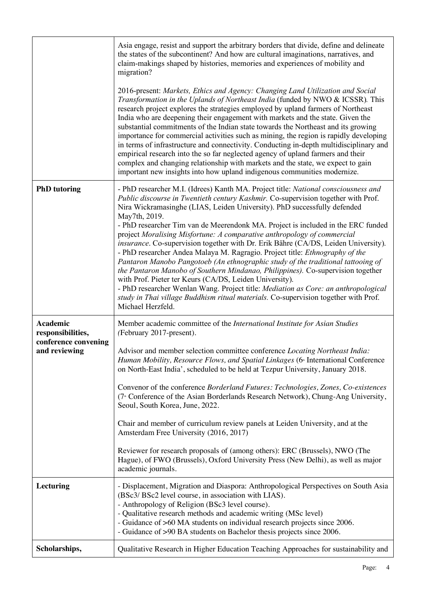|                                                                        | Asia engage, resist and support the arbitrary borders that divide, define and delineate<br>the states of the subcontinent? And how are cultural imaginations, narratives, and<br>claim-makings shaped by histories, memories and experiences of mobility and<br>migration?<br>2016-present: Markets, Ethics and Agency: Changing Land Utilization and Social<br>Transformation in the Uplands of Northeast India (funded by NWO & ICSSR). This<br>research project explores the strategies employed by upland farmers of Northeast<br>India who are deepening their engagement with markets and the state. Given the<br>substantial commitments of the Indian state towards the Northeast and its growing<br>importance for commercial activities such as mining, the region is rapidly developing<br>in terms of infrastructure and connectivity. Conducting in-depth multidisciplinary and<br>empirical research into the so far neglected agency of upland farmers and their<br>complex and changing relationship with markets and the state, we expect to gain<br>important new insights into how upland indigenous communities modernize. |
|------------------------------------------------------------------------|------------------------------------------------------------------------------------------------------------------------------------------------------------------------------------------------------------------------------------------------------------------------------------------------------------------------------------------------------------------------------------------------------------------------------------------------------------------------------------------------------------------------------------------------------------------------------------------------------------------------------------------------------------------------------------------------------------------------------------------------------------------------------------------------------------------------------------------------------------------------------------------------------------------------------------------------------------------------------------------------------------------------------------------------------------------------------------------------------------------------------------------------|
| <b>PhD</b> tutoring                                                    | - PhD researcher M.I. (Idrees) Kanth MA. Project title: National consciousness and<br>Public discourse in Twentieth century Kashmir. Co-supervision together with Prof.<br>Nira Wickramasinghe (LIAS, Leiden University). PhD successfully defended<br>May7th, 2019.<br>- PhD researcher Tim van de Meerendonk MA. Project is included in the ERC funded<br>project Moralising Misfortune: A comparative anthropology of commercial<br>insurance. Co-supervision together with Dr. Erik Bähre (CA/DS, Leiden University).<br>- PhD researcher Andea Malaya M. Ragragio. Project title: Ethnography of the<br>Pantaron Manobo Pangotoeb (An ethnographic study of the traditional tattooing of<br>the Pantaron Manobo of Southern Mindanao, Philippines). Co-supervision together<br>with Prof. Pieter ter Keurs (CA/DS, Leiden University).<br>- PhD researcher Wenlan Wang. Project title: Mediation as Core: an anthropological<br>study in Thai village Buddhism ritual materials. Co-supervision together with Prof.<br>Michael Herzfeld.                                                                                                  |
| Academic<br>responsibilities,<br>conference convening<br>and reviewing | Member academic committee of the International Institute for Asian Studies<br>(February 2017-present).<br>Advisor and member selection committee conference Locating Northeast India:<br>Human Mobility, Resource Flows, and Spatial Linkages (6 <sup>th</sup> International Conference<br>on North-East India', scheduled to be held at Tezpur University, January 2018.<br>Convenor of the conference Borderland Futures: Technologies, Zones, Co-existences<br>(7 <sup>th</sup> Conference of the Asian Borderlands Research Network), Chung-Ang University,<br>Seoul, South Korea, June, 2022.<br>Chair and member of curriculum review panels at Leiden University, and at the<br>Amsterdam Free University (2016, 2017)<br>Reviewer for research proposals of (among others): ERC (Brussels), NWO (The<br>Hague), of FWO (Brussels), Oxford University Press (New Delhi), as well as major<br>academic journals.                                                                                                                                                                                                                         |
| Lecturing                                                              | - Displacement, Migration and Diaspora: Anthropological Perspectives on South Asia<br>(BSc3/ BSc2 level course, in association with LIAS).<br>- Anthropology of Religion (BSc3 level course).<br>- Qualitative research methods and academic writing (MSc level)<br>- Guidance of >60 MA students on individual research projects since 2006.<br>- Guidance of >90 BA students on Bachelor thesis projects since 2006.                                                                                                                                                                                                                                                                                                                                                                                                                                                                                                                                                                                                                                                                                                                         |
| Scholarships,                                                          | Qualitative Research in Higher Education Teaching Approaches for sustainability and                                                                                                                                                                                                                                                                                                                                                                                                                                                                                                                                                                                                                                                                                                                                                                                                                                                                                                                                                                                                                                                            |